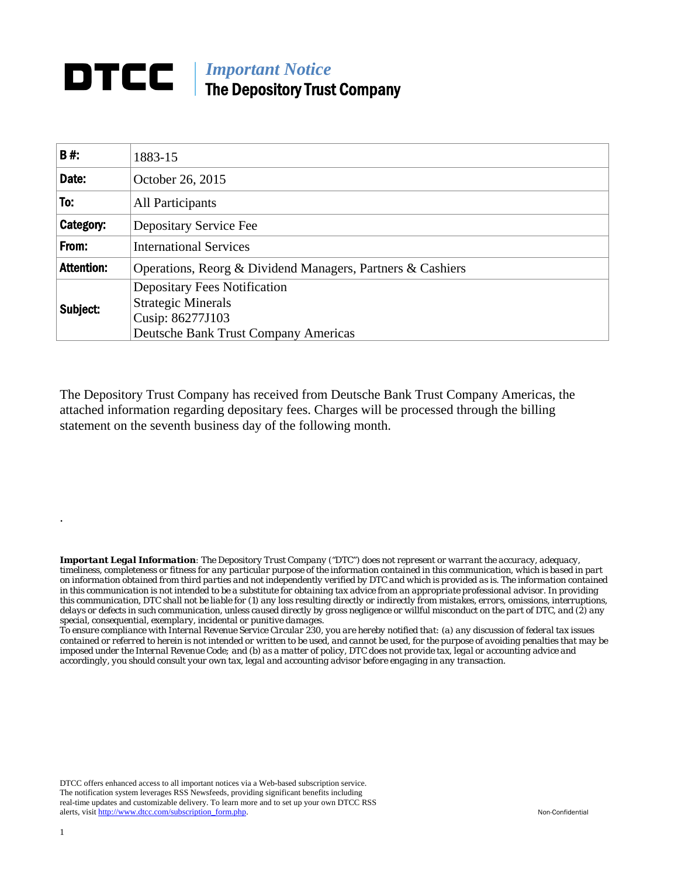## **DTCC** | *Important Notice* The Depository Trust Company

| <b>B#:</b>        | 1883-15                                                          |  |  |  |  |  |
|-------------------|------------------------------------------------------------------|--|--|--|--|--|
| Date:             | October 26, 2015                                                 |  |  |  |  |  |
| To:               | All Participants                                                 |  |  |  |  |  |
| Category:         | Depositary Service Fee                                           |  |  |  |  |  |
| From:             | <b>International Services</b>                                    |  |  |  |  |  |
| <b>Attention:</b> | Operations, Reorg & Dividend Managers, Partners & Cashiers       |  |  |  |  |  |
| Subject:          | <b>Depositary Fees Notification</b><br><b>Strategic Minerals</b> |  |  |  |  |  |
|                   | Cusip: 86277J103<br><b>Deutsche Bank Trust Company Americas</b>  |  |  |  |  |  |

The Depository Trust Company has received from Deutsche Bank Trust Company Americas, the attached information regarding depositary fees. Charges will be processed through the billing statement on the seventh business day of the following month.

*Important Legal Information: The Depository Trust Company ("DTC") does not represent or warrant the accuracy, adequacy, timeliness, completeness or fitness for any particular purpose of the information contained in this communication, which is based in part on information obtained from third parties and not independently verified by DTC and which is provided as is. The information contained in this communication is not intended to be a substitute for obtaining tax advice from an appropriate professional advisor. In providing this communication, DTC shall not be liable for (1) any loss resulting directly or indirectly from mistakes, errors, omissions, interruptions, delays or defects in such communication, unless caused directly by gross negligence or willful misconduct on the part of DTC, and (2) any special, consequential, exemplary, incidental or punitive damages.* 

*To ensure compliance with Internal Revenue Service Circular 230, you are hereby notified that: (a) any discussion of federal tax issues contained or referred to herein is not intended or written to be used, and cannot be used, for the purpose of avoiding penalties that may be imposed under the Internal Revenue Code; and (b) as a matter of policy, DTC does not provide tax, legal or accounting advice and accordingly, you should consult your own tax, legal and accounting advisor before engaging in any transaction.*

DTCC offers enhanced access to all important notices via a Web-based subscription service. The notification system leverages RSS Newsfeeds, providing significant benefits including real-time updates and customizable delivery. To learn more and to set up your own DTCC RSS alerts, visit http://www.dtcc.com/subscription\_form.php. Non-Confidential

.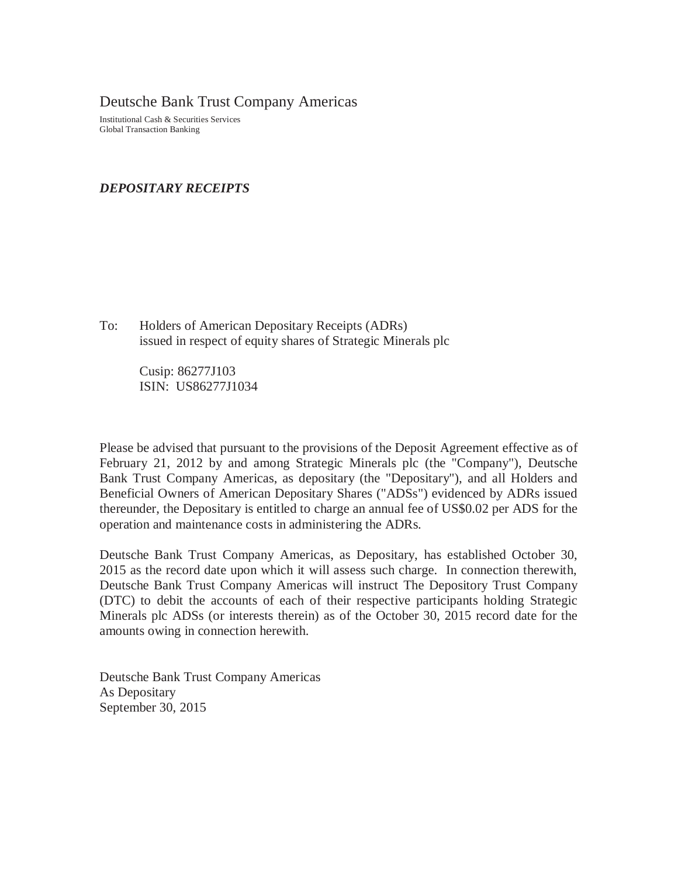Deutsche Bank Trust Company Americas

Institutional Cash & Securities Services Global Transaction Banking

## *DEPOSITARY RECEIPTS*

To: Holders of American Depositary Receipts (ADRs) issued in respect of equity shares of Strategic Minerals plc

> Cusip: 86277J103 ISIN: US86277J1034

Please be advised that pursuant to the provisions of the Deposit Agreement effective as of February 21, 2012 by and among Strategic Minerals plc (the "Company"), Deutsche Bank Trust Company Americas, as depositary (the "Depositary"), and all Holders and Beneficial Owners of American Depositary Shares ("ADSs") evidenced by ADRs issued thereunder, the Depositary is entitled to charge an annual fee of US\$0.02 per ADS for the operation and maintenance costs in administering the ADRs.

Deutsche Bank Trust Company Americas, as Depositary, has established October 30, 2015 as the record date upon which it will assess such charge. In connection therewith, Deutsche Bank Trust Company Americas will instruct The Depository Trust Company (DTC) to debit the accounts of each of their respective participants holding Strategic Minerals plc ADSs (or interests therein) as of the October 30, 2015 record date for the amounts owing in connection herewith.

Deutsche Bank Trust Company Americas As Depositary September 30, 2015